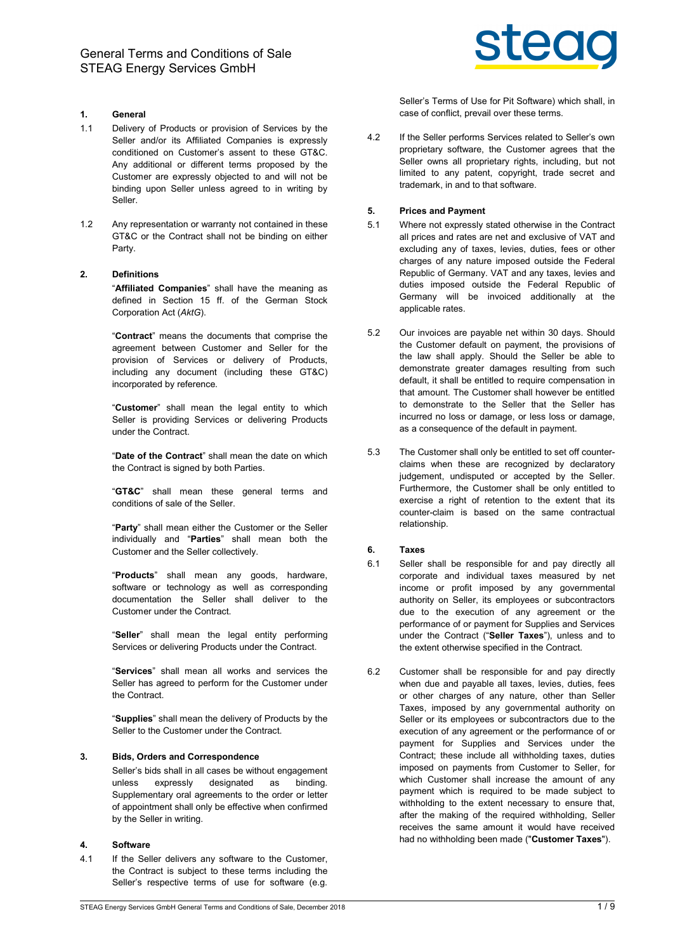

# 1. General

- 1.1 Delivery of Products or provision of Services by the Seller and/or its Affiliated Companies is expressly conditioned on Customer's assent to these GT&C. Any additional or different terms proposed by the Customer are expressly objected to and will not be binding upon Seller unless agreed to in writing by Seller.
- 1.2 Any representation or warranty not contained in these GT&C or the Contract shall not be binding on either Party.

### 2. Definitions

"Affiliated Companies" shall have the meaning as defined in Section 15 ff. of the German Stock Corporation Act (AktG).

"Contract" means the documents that comprise the agreement between Customer and Seller for the provision of Services or delivery of Products, including any document (including these GT&C) incorporated by reference.

"Customer" shall mean the legal entity to which Seller is providing Services or delivering Products under the Contract.

"Date of the Contract" shall mean the date on which the Contract is signed by both Parties.

"GT&C" shall mean these general terms and conditions of sale of the Seller.

"Party" shall mean either the Customer or the Seller individually and "Parties" shall mean both the Customer and the Seller collectively.

"Products" shall mean any goods, hardware, software or technology as well as corresponding documentation the Seller shall deliver to the Customer under the Contract.

"Seller" shall mean the legal entity performing Services or delivering Products under the Contract.

"Services" shall mean all works and services the Seller has agreed to perform for the Customer under the Contract.

"Supplies" shall mean the delivery of Products by the Seller to the Customer under the Contract.

#### 3. Bids, Orders and Correspondence

Seller's bids shall in all cases be without engagement unless expressly designated as binding. Supplementary oral agreements to the order or letter of appointment shall only be effective when confirmed by the Seller in writing.

# 4. Software

4.1 If the Seller delivers any software to the Customer, the Contract is subject to these terms including the Seller's respective terms of use for software (e.g.

Seller's Terms of Use for Pit Software) which shall, in case of conflict, prevail over these terms.

4.2 If the Seller performs Services related to Seller's own proprietary software, the Customer agrees that the Seller owns all proprietary rights, including, but not limited to any patent, copyright, trade secret and trademark, in and to that software.

## 5. Prices and Payment

- 5.1 Where not expressly stated otherwise in the Contract all prices and rates are net and exclusive of VAT and excluding any of taxes, levies, duties, fees or other charges of any nature imposed outside the Federal Republic of Germany. VAT and any taxes, levies and duties imposed outside the Federal Republic of Germany will be invoiced additionally at the applicable rates.
- 5.2 Our invoices are payable net within 30 days. Should the Customer default on payment, the provisions of the law shall apply. Should the Seller be able to demonstrate greater damages resulting from such default, it shall be entitled to require compensation in that amount. The Customer shall however be entitled to demonstrate to the Seller that the Seller has incurred no loss or damage, or less loss or damage, as a consequence of the default in payment.
- 5.3 The Customer shall only be entitled to set off counterclaims when these are recognized by declaratory judgement, undisputed or accepted by the Seller. Furthermore, the Customer shall be only entitled to exercise a right of retention to the extent that its counter-claim is based on the same contractual relationship.

# 6. Taxes

- 6.1 Seller shall be responsible for and pay directly all corporate and individual taxes measured by net income or profit imposed by any governmental authority on Seller, its employees or subcontractors due to the execution of any agreement or the performance of or payment for Supplies and Services under the Contract ("Seller Taxes"), unless and to the extent otherwise specified in the Contract.
- 6.2 Customer shall be responsible for and pay directly when due and payable all taxes, levies, duties, fees or other charges of any nature, other than Seller Taxes, imposed by any governmental authority on Seller or its employees or subcontractors due to the execution of any agreement or the performance of or payment for Supplies and Services under the Contract; these include all withholding taxes, duties imposed on payments from Customer to Seller, for which Customer shall increase the amount of any payment which is required to be made subject to withholding to the extent necessary to ensure that. after the making of the required withholding, Seller receives the same amount it would have received had no withholding been made ("Customer Taxes").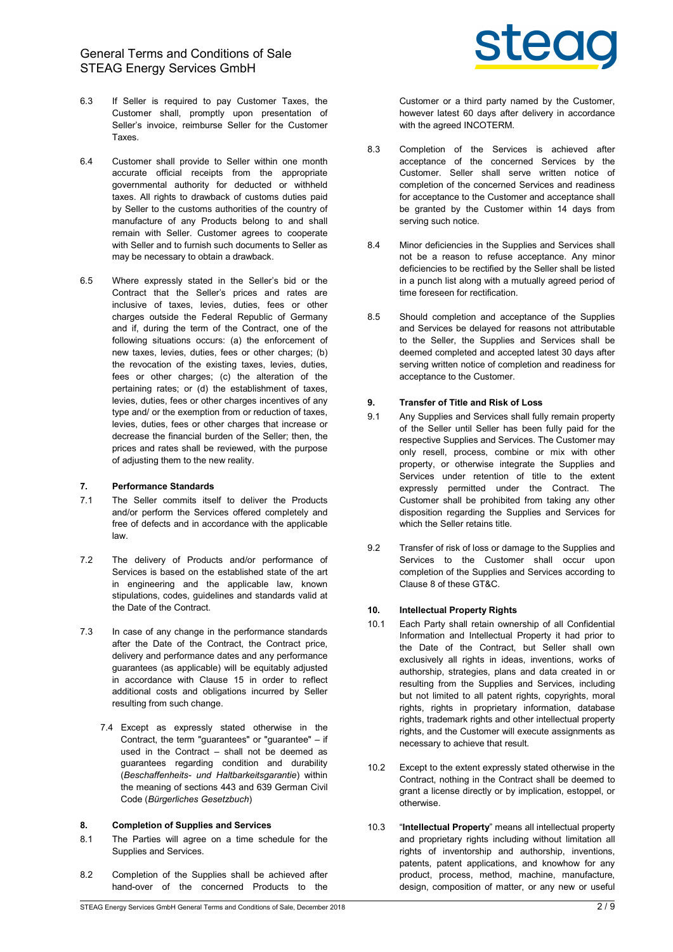General Terms and Conditions of Sale STEAG Energy Services GmbH

- 6.3 If Seller is required to pay Customer Taxes, the Customer shall, promptly upon presentation of Seller's invoice, reimburse Seller for the Customer Taxes.
- 6.4 Customer shall provide to Seller within one month accurate official receipts from the appropriate governmental authority for deducted or withheld taxes. All rights to drawback of customs duties paid by Seller to the customs authorities of the country of manufacture of any Products belong to and shall remain with Seller. Customer agrees to cooperate with Seller and to furnish such documents to Seller as may be necessary to obtain a drawback.
- 6.5 Where expressly stated in the Seller's bid or the Contract that the Seller's prices and rates are inclusive of taxes, levies, duties, fees or other charges outside the Federal Republic of Germany and if, during the term of the Contract, one of the following situations occurs: (a) the enforcement of new taxes, levies, duties, fees or other charges; (b) the revocation of the existing taxes, levies, duties, fees or other charges; (c) the alteration of the pertaining rates; or (d) the establishment of taxes, levies, duties, fees or other charges incentives of any type and/ or the exemption from or reduction of taxes, levies, duties, fees or other charges that increase or decrease the financial burden of the Seller; then, the prices and rates shall be reviewed, with the purpose of adjusting them to the new reality.

#### 7. Performance Standards

- 7.1 The Seller commits itself to deliver the Products and/or perform the Services offered completely and free of defects and in accordance with the applicable law.
- 7.2 The delivery of Products and/or performance of Services is based on the established state of the art in engineering and the applicable law, known stipulations, codes, guidelines and standards valid at the Date of the Contract.
- 7.3 In case of any change in the performance standards after the Date of the Contract, the Contract price, delivery and performance dates and any performance guarantees (as applicable) will be equitably adjusted in accordance with Clause 15 in order to reflect additional costs and obligations incurred by Seller resulting from such change.
	- 7.4 Except as expressly stated otherwise in the Contract, the term "guarantees" or "guarantee" – if used in the Contract – shall not be deemed as guarantees regarding condition and durability (Beschaffenheits- und Haltbarkeitsgarantie) within the meaning of sections 443 and 639 German Civil Code (Bürgerliches Gesetzbuch)

#### 8. Completion of Supplies and Services

- 8.1 The Parties will agree on a time schedule for the Supplies and Services.
- 8.2 Completion of the Supplies shall be achieved after hand-over of the concerned Products to the



Customer or a third party named by the Customer, however latest 60 days after delivery in accordance with the agreed INCOTERM.

- 8.3 Completion of the Services is achieved after acceptance of the concerned Services by the Customer. Seller shall serve written notice of completion of the concerned Services and readiness for acceptance to the Customer and acceptance shall be granted by the Customer within 14 days from serving such notice.
- 8.4 Minor deficiencies in the Supplies and Services shall not be a reason to refuse acceptance. Any minor deficiencies to be rectified by the Seller shall be listed in a punch list along with a mutually agreed period of time foreseen for rectification.
- 8.5 Should completion and acceptance of the Supplies and Services be delayed for reasons not attributable to the Seller, the Supplies and Services shall be deemed completed and accepted latest 30 days after serving written notice of completion and readiness for acceptance to the Customer.

## 9. Transfer of Title and Risk of Loss

- 9.1 Any Supplies and Services shall fully remain property of the Seller until Seller has been fully paid for the respective Supplies and Services. The Customer may only resell, process, combine or mix with other property, or otherwise integrate the Supplies and Services under retention of title to the extent expressly permitted under the Contract. The Customer shall be prohibited from taking any other disposition regarding the Supplies and Services for which the Seller retains title.
- 9.2 Transfer of risk of loss or damage to the Supplies and Services to the Customer shall occur upon completion of the Supplies and Services according to Clause 8 of these GT&C.

#### 10. Intellectual Property Rights

- 10.1 Each Party shall retain ownership of all Confidential Information and Intellectual Property it had prior to the Date of the Contract, but Seller shall own exclusively all rights in ideas, inventions, works of authorship, strategies, plans and data created in or resulting from the Supplies and Services, including but not limited to all patent rights, copyrights, moral rights, rights in proprietary information, database rights, trademark rights and other intellectual property rights, and the Customer will execute assignments as necessary to achieve that result.
- 10.2 Except to the extent expressly stated otherwise in the Contract, nothing in the Contract shall be deemed to grant a license directly or by implication, estoppel, or otherwise.
- 10.3 "Intellectual Property" means all intellectual property and proprietary rights including without limitation all rights of inventorship and authorship, inventions, patents, patent applications, and knowhow for any product, process, method, machine, manufacture, design, composition of matter, or any new or useful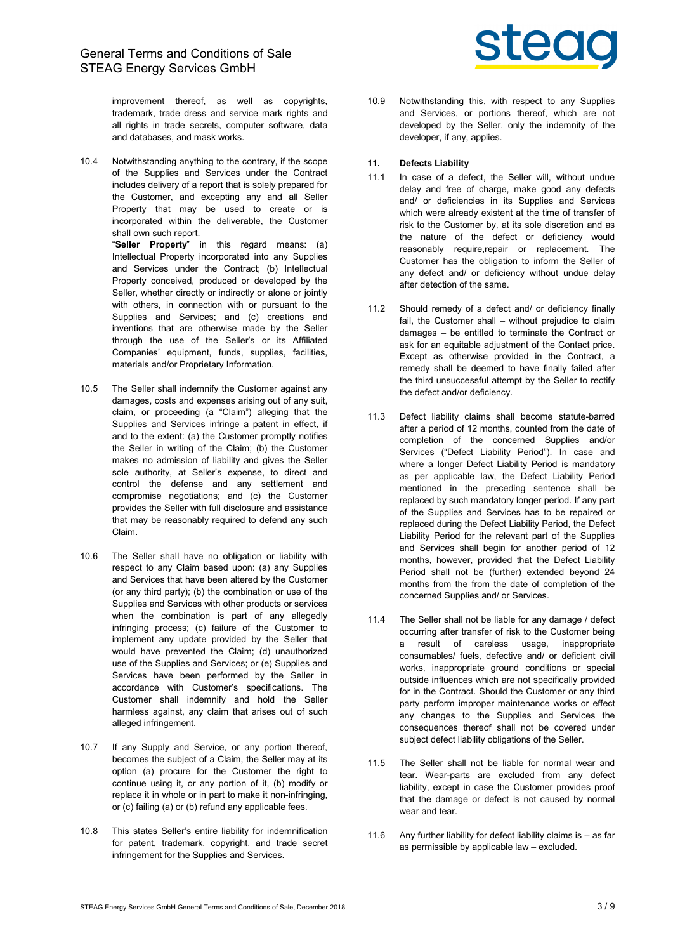

improvement thereof, as well as copyrights, trademark, trade dress and service mark rights and all rights in trade secrets, computer software, data and databases, and mask works.

10.4 Notwithstanding anything to the contrary, if the scope of the Supplies and Services under the Contract includes delivery of a report that is solely prepared for the Customer, and excepting any and all Seller Property that may be used to create or is incorporated within the deliverable, the Customer shall own such report.

"Seller Property" in this regard means: (a) Intellectual Property incorporated into any Supplies and Services under the Contract; (b) Intellectual Property conceived, produced or developed by the Seller, whether directly or indirectly or alone or jointly with others, in connection with or pursuant to the Supplies and Services; and (c) creations and inventions that are otherwise made by the Seller through the use of the Seller's or its Affiliated Companies' equipment, funds, supplies, facilities, materials and/or Proprietary Information.

- 10.5 The Seller shall indemnify the Customer against any damages, costs and expenses arising out of any suit, claim, or proceeding (a "Claim") alleging that the Supplies and Services infringe a patent in effect, if and to the extent: (a) the Customer promptly notifies the Seller in writing of the Claim; (b) the Customer makes no admission of liability and gives the Seller sole authority, at Seller's expense, to direct and control the defense and any settlement and compromise negotiations; and (c) the Customer provides the Seller with full disclosure and assistance that may be reasonably required to defend any such Claim.
- 10.6 The Seller shall have no obligation or liability with respect to any Claim based upon: (a) any Supplies and Services that have been altered by the Customer (or any third party); (b) the combination or use of the Supplies and Services with other products or services when the combination is part of any allegedly infringing process; (c) failure of the Customer to implement any update provided by the Seller that would have prevented the Claim; (d) unauthorized use of the Supplies and Services; or (e) Supplies and Services have been performed by the Seller in accordance with Customer's specifications. The Customer shall indemnify and hold the Seller harmless against, any claim that arises out of such alleged infringement.
- 10.7 If any Supply and Service, or any portion thereof, becomes the subject of a Claim, the Seller may at its option (a) procure for the Customer the right to continue using it, or any portion of it, (b) modify or replace it in whole or in part to make it non-infringing, or (c) failing (a) or (b) refund any applicable fees.
- 10.8 This states Seller's entire liability for indemnification for patent, trademark, copyright, and trade secret infringement for the Supplies and Services.

10.9 Notwithstanding this, with respect to any Supplies and Services, or portions thereof, which are not developed by the Seller, only the indemnity of the developer, if any, applies.

# 11. Defects Liability

- 11.1 In case of a defect, the Seller will, without undue delay and free of charge, make good any defects and/ or deficiencies in its Supplies and Services which were already existent at the time of transfer of risk to the Customer by, at its sole discretion and as the nature of the defect or deficiency would reasonably require,repair or replacement. The Customer has the obligation to inform the Seller of any defect and/ or deficiency without undue delay after detection of the same.
- 11.2 Should remedy of a defect and/ or deficiency finally fail, the Customer shall – without prejudice to claim damages – be entitled to terminate the Contract or ask for an equitable adjustment of the Contact price. Except as otherwise provided in the Contract, a remedy shall be deemed to have finally failed after the third unsuccessful attempt by the Seller to rectify the defect and/or deficiency.
- 11.3 Defect liability claims shall become statute-barred after a period of 12 months, counted from the date of completion of the concerned Supplies and/or Services ("Defect Liability Period"). In case and where a longer Defect Liability Period is mandatory as per applicable law, the Defect Liability Period mentioned in the preceding sentence shall be replaced by such mandatory longer period. If any part of the Supplies and Services has to be repaired or replaced during the Defect Liability Period, the Defect Liability Period for the relevant part of the Supplies and Services shall begin for another period of 12 months, however, provided that the Defect Liability Period shall not be (further) extended beyond 24 months from the from the date of completion of the concerned Supplies and/ or Services.
- 11.4 The Seller shall not be liable for any damage / defect occurring after transfer of risk to the Customer being a result of careless usage, inappropriate consumables/ fuels, defective and/ or deficient civil works, inappropriate ground conditions or special outside influences which are not specifically provided for in the Contract. Should the Customer or any third party perform improper maintenance works or effect any changes to the Supplies and Services the consequences thereof shall not be covered under subject defect liability obligations of the Seller.
- 11.5 The Seller shall not be liable for normal wear and tear. Wear-parts are excluded from any defect liability, except in case the Customer provides proof that the damage or defect is not caused by normal wear and tear.
- 11.6 Any further liability for defect liability claims is as far as permissible by applicable law – excluded.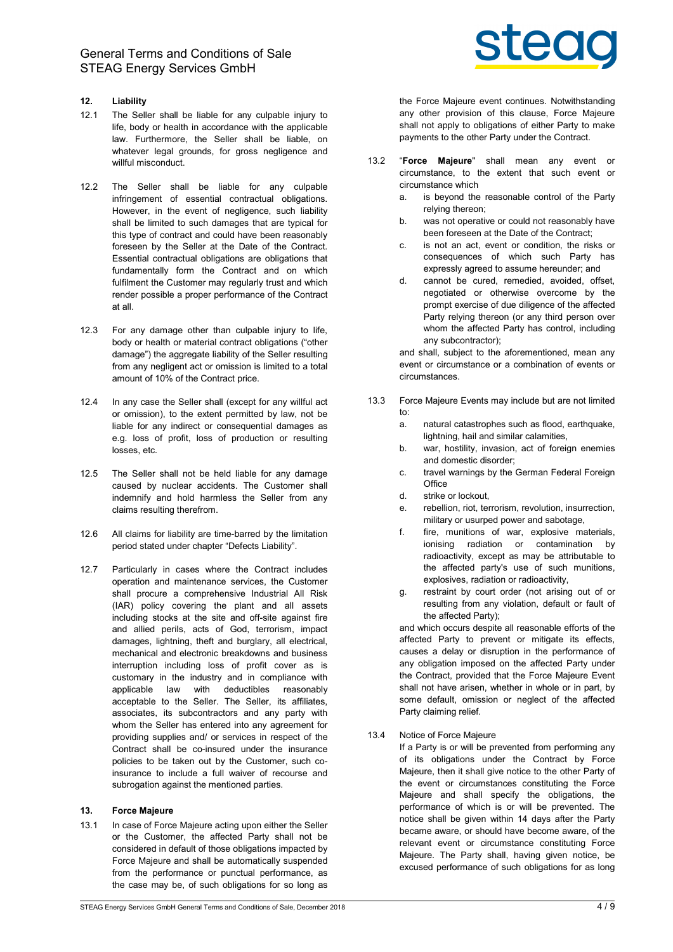# 12. Liability

- 12.1 The Seller shall be liable for any culpable injury to life, body or health in accordance with the applicable law. Furthermore, the Seller shall be liable, on whatever legal grounds, for gross negligence and willful misconduct.
- 12.2 The Seller shall be liable for any culpable infringement of essential contractual obligations. However, in the event of negligence, such liability shall be limited to such damages that are typical for this type of contract and could have been reasonably foreseen by the Seller at the Date of the Contract. Essential contractual obligations are obligations that fundamentally form the Contract and on which fulfilment the Customer may regularly trust and which render possible a proper performance of the Contract at all.
- 12.3 For any damage other than culpable injury to life, body or health or material contract obligations ("other damage") the aggregate liability of the Seller resulting from any negligent act or omission is limited to a total amount of 10% of the Contract price.
- 12.4 In any case the Seller shall (except for any willful act or omission), to the extent permitted by law, not be liable for any indirect or consequential damages as e.g. loss of profit, loss of production or resulting losses, etc.
- 12.5 The Seller shall not be held liable for any damage caused by nuclear accidents. The Customer shall indemnify and hold harmless the Seller from any claims resulting therefrom.
- 12.6 All claims for liability are time-barred by the limitation period stated under chapter "Defects Liability".
- 12.7 Particularly in cases where the Contract includes operation and maintenance services, the Customer shall procure a comprehensive Industrial All Risk (IAR) policy covering the plant and all assets including stocks at the site and off-site against fire and allied perils, acts of God, terrorism, impact damages, lightning, theft and burglary, all electrical, mechanical and electronic breakdowns and business interruption including loss of profit cover as is customary in the industry and in compliance with applicable law with deductibles reasonably acceptable to the Seller. The Seller, its affiliates, associates, its subcontractors and any party with whom the Seller has entered into any agreement for providing supplies and/ or services in respect of the Contract shall be co-insured under the insurance policies to be taken out by the Customer, such coinsurance to include a full waiver of recourse and subrogation against the mentioned parties.

## 13. Force Majeure

13.1 In case of Force Majeure acting upon either the Seller or the Customer, the affected Party shall not be considered in default of those obligations impacted by Force Majeure and shall be automatically suspended from the performance or punctual performance, as the case may be, of such obligations for so long as



the Force Majeure event continues. Notwithstanding any other provision of this clause, Force Majeure shall not apply to obligations of either Party to make payments to the other Party under the Contract.

- 13.2 "Force Majeure" shall mean any event or circumstance, to the extent that such event or circumstance which
	- a. is beyond the reasonable control of the Party relying thereon;
	- b. was not operative or could not reasonably have been foreseen at the Date of the Contract;
	- c. is not an act, event or condition, the risks or consequences of which such Party has expressly agreed to assume hereunder; and
	- d. cannot be cured, remedied, avoided, offset, negotiated or otherwise overcome by the prompt exercise of due diligence of the affected Party relying thereon (or any third person over whom the affected Party has control, including any subcontractor);

and shall, subject to the aforementioned, mean any event or circumstance or a combination of events or circumstances.

- 13.3 Force Majeure Events may include but are not limited to:
	- a. natural catastrophes such as flood, earthquake, lightning, hail and similar calamities,
	- b. war, hostility, invasion, act of foreign enemies and domestic disorder;
	- c. travel warnings by the German Federal Foreign **Office**
	- d. strike or lockout,
	- e. rebellion, riot, terrorism, revolution, insurrection, military or usurped power and sabotage,
	- f. fire, munitions of war, explosive materials, ionising radiation or contamination by radioactivity, except as may be attributable to the affected party's use of such munitions, explosives, radiation or radioactivity,
	- g. restraint by court order (not arising out of or resulting from any violation, default or fault of the affected Party);

and which occurs despite all reasonable efforts of the affected Party to prevent or mitigate its effects, causes a delay or disruption in the performance of any obligation imposed on the affected Party under the Contract, provided that the Force Majeure Event shall not have arisen, whether in whole or in part, by some default, omission or neglect of the affected Party claiming relief.

13.4 Notice of Force Majeure

If a Party is or will be prevented from performing any of its obligations under the Contract by Force Majeure, then it shall give notice to the other Party of the event or circumstances constituting the Force Majeure and shall specify the obligations, the performance of which is or will be prevented. The notice shall be given within 14 days after the Party became aware, or should have become aware, of the relevant event or circumstance constituting Force Majeure. The Party shall, having given notice, be excused performance of such obligations for as long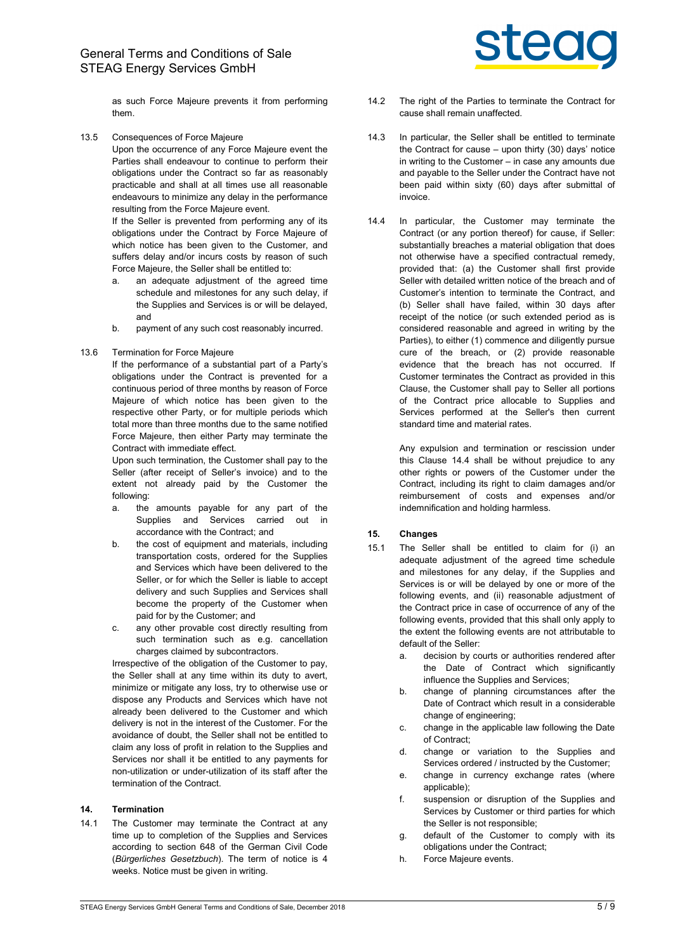as such Force Majeure prevents it from performing them.

13.5 Consequences of Force Majeure Upon the occurrence of any Force Majeure event the Parties shall endeavour to continue to perform their obligations under the Contract so far as reasonably practicable and shall at all times use all reasonable endeavours to minimize any delay in the performance resulting from the Force Majeure event.

> If the Seller is prevented from performing any of its obligations under the Contract by Force Majeure of which notice has been given to the Customer, and suffers delay and/or incurs costs by reason of such Force Majeure, the Seller shall be entitled to:

- a. an adequate adjustment of the agreed time schedule and milestones for any such delay, if the Supplies and Services is or will be delayed, and
- b. payment of any such cost reasonably incurred.

#### 13.6 Termination for Force Majeure

If the performance of a substantial part of a Party's obligations under the Contract is prevented for a continuous period of three months by reason of Force Majeure of which notice has been given to the respective other Party, or for multiple periods which total more than three months due to the same notified Force Majeure, then either Party may terminate the Contract with immediate effect.

Upon such termination, the Customer shall pay to the Seller (after receipt of Seller's invoice) and to the extent not already paid by the Customer the following:

- a. the amounts payable for any part of the Supplies and Services carried out in accordance with the Contract; and
- b. the cost of equipment and materials, including transportation costs, ordered for the Supplies and Services which have been delivered to the Seller, or for which the Seller is liable to accept delivery and such Supplies and Services shall become the property of the Customer when paid for by the Customer; and
- c. any other provable cost directly resulting from such termination such as e.g. cancellation charges claimed by subcontractors.

Irrespective of the obligation of the Customer to pay, the Seller shall at any time within its duty to avert, minimize or mitigate any loss, try to otherwise use or dispose any Products and Services which have not already been delivered to the Customer and which delivery is not in the interest of the Customer. For the avoidance of doubt, the Seller shall not be entitled to claim any loss of profit in relation to the Supplies and Services nor shall it be entitled to any payments for non-utilization or under-utilization of its staff after the termination of the Contract.

# 14. Termination

14.1 The Customer may terminate the Contract at any time up to completion of the Supplies and Services according to section 648 of the German Civil Code (Bürgerliches Gesetzbuch). The term of notice is 4 weeks. Notice must be given in writing.



- 14.2 The right of the Parties to terminate the Contract for cause shall remain unaffected.
- 14.3 In particular, the Seller shall be entitled to terminate the Contract for cause – upon thirty (30) days' notice in writing to the Customer – in case any amounts due and payable to the Seller under the Contract have not been paid within sixty (60) days after submittal of invoice.
- 14.4 In particular, the Customer may terminate the Contract (or any portion thereof) for cause, if Seller: substantially breaches a material obligation that does not otherwise have a specified contractual remedy, provided that: (a) the Customer shall first provide Seller with detailed written notice of the breach and of Customer's intention to terminate the Contract, and (b) Seller shall have failed, within 30 days after receipt of the notice (or such extended period as is considered reasonable and agreed in writing by the Parties), to either (1) commence and diligently pursue cure of the breach, or (2) provide reasonable evidence that the breach has not occurred. If Customer terminates the Contract as provided in this Clause, the Customer shall pay to Seller all portions of the Contract price allocable to Supplies and Services performed at the Seller's then current standard time and material rates.

Any expulsion and termination or rescission under this Clause 14.4 shall be without prejudice to any other rights or powers of the Customer under the Contract, including its right to claim damages and/or reimbursement of costs and expenses and/or indemnification and holding harmless.

# 15. Changes

- 15.1 The Seller shall be entitled to claim for (i) an adequate adjustment of the agreed time schedule and milestones for any delay, if the Supplies and Services is or will be delayed by one or more of the following events, and (ii) reasonable adjustment of the Contract price in case of occurrence of any of the following events, provided that this shall only apply to the extent the following events are not attributable to default of the Seller:
	- a. decision by courts or authorities rendered after the Date of Contract which significantly influence the Supplies and Services;
	- b. change of planning circumstances after the Date of Contract which result in a considerable change of engineering;
	- c. change in the applicable law following the Date of Contract;
	- d. change or variation to the Supplies and Services ordered / instructed by the Customer;
	- e. change in currency exchange rates (where applicable);
	- f. suspension or disruption of the Supplies and Services by Customer or third parties for which the Seller is not responsible;
	- g. default of the Customer to comply with its obligations under the Contract;
	- h. Force Majeure events.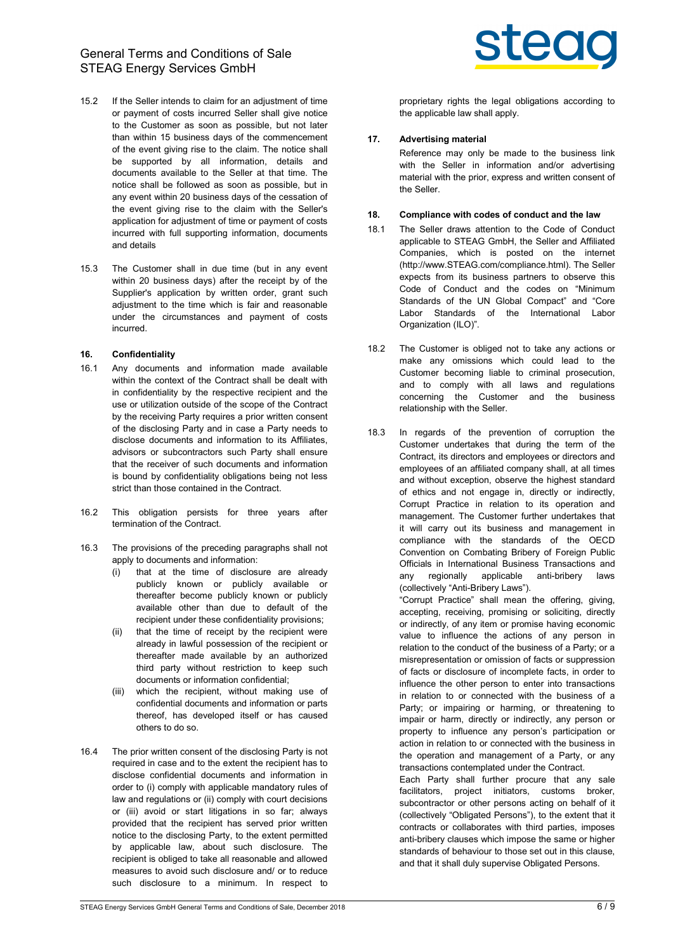General Terms and Conditions of Sale STEAG Energy Services GmbH

- 15.2 If the Seller intends to claim for an adjustment of time or payment of costs incurred Seller shall give notice to the Customer as soon as possible, but not later than within 15 business days of the commencement of the event giving rise to the claim. The notice shall be supported by all information, details and documents available to the Seller at that time. The notice shall be followed as soon as possible, but in any event within 20 business days of the cessation of the event giving rise to the claim with the Seller's application for adjustment of time or payment of costs incurred with full supporting information, documents and details
- 15.3 The Customer shall in due time (but in any event within 20 business days) after the receipt by of the Supplier's application by written order, grant such adjustment to the time which is fair and reasonable under the circumstances and payment of costs incurred.

### 16. Confidentiality

- 16.1 Any documents and information made available within the context of the Contract shall be dealt with in confidentiality by the respective recipient and the use or utilization outside of the scope of the Contract by the receiving Party requires a prior written consent of the disclosing Party and in case a Party needs to disclose documents and information to its Affiliates, advisors or subcontractors such Party shall ensure that the receiver of such documents and information is bound by confidentiality obligations being not less strict than those contained in the Contract.
- 16.2 This obligation persists for three years after termination of the Contract.
- 16.3 The provisions of the preceding paragraphs shall not apply to documents and information:
	- (i) that at the time of disclosure are already publicly known or publicly available or thereafter become publicly known or publicly available other than due to default of the recipient under these confidentiality provisions;
	- (ii) that the time of receipt by the recipient were already in lawful possession of the recipient or thereafter made available by an authorized third party without restriction to keep such documents or information confidential;
	- (iii) which the recipient, without making use of confidential documents and information or parts thereof, has developed itself or has caused others to do so.
- 16.4 The prior written consent of the disclosing Party is not required in case and to the extent the recipient has to disclose confidential documents and information in order to (i) comply with applicable mandatory rules of law and regulations or (ii) comply with court decisions or (iii) avoid or start litigations in so far; always provided that the recipient has served prior written notice to the disclosing Party, to the extent permitted by applicable law, about such disclosure. The recipient is obliged to take all reasonable and allowed measures to avoid such disclosure and/ or to reduce such disclosure to a minimum. In respect to



proprietary rights the legal obligations according to the applicable law shall apply.

# 17. Advertising material

Reference may only be made to the business link with the Seller in information and/or advertising material with the prior, express and written consent of the Seller.

## 18. Compliance with codes of conduct and the law

- 18.1 The Seller draws attention to the Code of Conduct applicable to STEAG GmbH, the Seller and Affiliated Companies, which is posted on the internet (http://www.STEAG.com/compliance.html). The Seller expects from its business partners to observe this Code of Conduct and the codes on "Minimum Standards of the UN Global Compact" and "Core Labor Standards of the International Labor Organization (ILO)".
- 18.2 The Customer is obliged not to take any actions or make any omissions which could lead to the Customer becoming liable to criminal prosecution, and to comply with all laws and regulations concerning the Customer and the business relationship with the Seller.
- 18.3 In regards of the prevention of corruption the Customer undertakes that during the term of the Contract, its directors and employees or directors and employees of an affiliated company shall, at all times and without exception, observe the highest standard of ethics and not engage in, directly or indirectly, Corrupt Practice in relation to its operation and management. The Customer further undertakes that it will carry out its business and management in compliance with the standards of the OECD Convention on Combating Bribery of Foreign Public Officials in International Business Transactions and any regionally applicable anti-bribery laws (collectively "Anti-Bribery Laws").

"Corrupt Practice" shall mean the offering, giving, accepting, receiving, promising or soliciting, directly or indirectly, of any item or promise having economic value to influence the actions of any person in relation to the conduct of the business of a Party; or a misrepresentation or omission of facts or suppression of facts or disclosure of incomplete facts, in order to influence the other person to enter into transactions in relation to or connected with the business of a Party; or impairing or harming, or threatening to impair or harm, directly or indirectly, any person or property to influence any person's participation or action in relation to or connected with the business in the operation and management of a Party, or any transactions contemplated under the Contract.

Each Party shall further procure that any sale facilitators, project initiators, customs broker, subcontractor or other persons acting on behalf of it (collectively "Obligated Persons"), to the extent that it contracts or collaborates with third parties, imposes anti-bribery clauses which impose the same or higher standards of behaviour to those set out in this clause, and that it shall duly supervise Obligated Persons.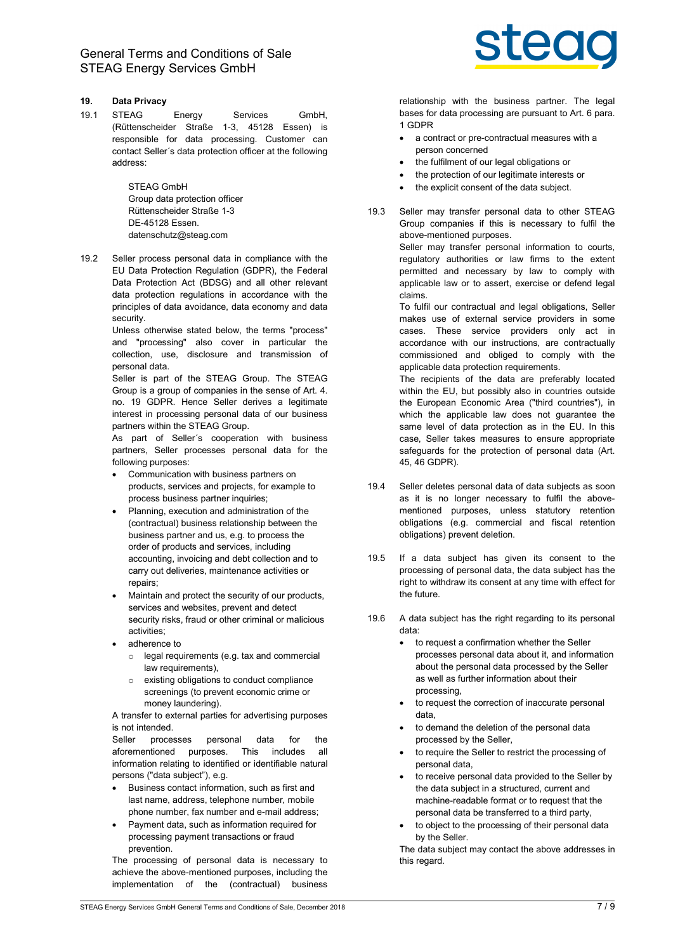# 19. Data Privacy

19.1 STEAG Energy Services GmbH, (Rüttenscheider Straße 1-3, 45128 Essen) is responsible for data processing. Customer can contact Seller´s data protection officer at the following address:

> STEAG GmbH Group data protection officer Rüttenscheider Straße 1-3 DE-45128 Essen. datenschutz@steag.com

19.2 Seller process personal data in compliance with the EU Data Protection Regulation (GDPR), the Federal Data Protection Act (BDSG) and all other relevant data protection regulations in accordance with the principles of data avoidance, data economy and data security.

> Unless otherwise stated below, the terms "process" and "processing" also cover in particular the collection, use, disclosure and transmission of personal data.

> Seller is part of the STEAG Group. The STEAG Group is a group of companies in the sense of Art. 4. no. 19 GDPR. Hence Seller derives a legitimate interest in processing personal data of our business partners within the STEAG Group.

> As part of Seller´s cooperation with business partners, Seller processes personal data for the following purposes:

- Communication with business partners on products, services and projects, for example to process business partner inquiries;
- Planning, execution and administration of the (contractual) business relationship between the business partner and us, e.g. to process the order of products and services, including accounting, invoicing and debt collection and to carry out deliveries, maintenance activities or repairs;
- Maintain and protect the security of our products, services and websites, prevent and detect security risks, fraud or other criminal or malicious activities;
- adherence to
	- o legal requirements (e.g. tax and commercial law requirements),
	- o existing obligations to conduct compliance screenings (to prevent economic crime or money laundering).

A transfer to external parties for advertising purposes is not intended.

Seller processes personal data for the aforementioned purposes. This includes all information relating to identified or identifiable natural persons ("data subject"), e.g.

- Business contact information, such as first and last name, address, telephone number, mobile phone number, fax number and e-mail address;
- Payment data, such as information required for processing payment transactions or fraud prevention.

The processing of personal data is necessary to achieve the above-mentioned purposes, including the implementation of the (contractual) business



relationship with the business partner. The legal bases for data processing are pursuant to Art. 6 para. 1 GDPR

- a contract or pre-contractual measures with a person concerned
- the fulfilment of our legal obligations or
- the protection of our legitimate interests or
- the explicit consent of the data subject.
- 19.3 Seller may transfer personal data to other STEAG Group companies if this is necessary to fulfil the above-mentioned purposes.

Seller may transfer personal information to courts, regulatory authorities or law firms to the extent permitted and necessary by law to comply with applicable law or to assert, exercise or defend legal claims.

To fulfil our contractual and legal obligations, Seller makes use of external service providers in some cases. These service providers only act in accordance with our instructions, are contractually commissioned and obliged to comply with the applicable data protection requirements.

The recipients of the data are preferably located within the EU, but possibly also in countries outside the European Economic Area ("third countries"), in which the applicable law does not guarantee the same level of data protection as in the EU. In this case, Seller takes measures to ensure appropriate safeguards for the protection of personal data (Art. 45, 46 GDPR).

- 19.4 Seller deletes personal data of data subjects as soon as it is no longer necessary to fulfil the abovementioned purposes, unless statutory retention obligations (e.g. commercial and fiscal retention obligations) prevent deletion.
- 19.5 If a data subject has given its consent to the processing of personal data, the data subject has the right to withdraw its consent at any time with effect for the future.
- 19.6 A data subject has the right regarding to its personal data:
	- to request a confirmation whether the Seller processes personal data about it, and information about the personal data processed by the Seller as well as further information about their processing,
	- to request the correction of inaccurate personal data,
	- to demand the deletion of the personal data processed by the Seller,
	- to require the Seller to restrict the processing of personal data,
	- to receive personal data provided to the Seller by the data subject in a structured, current and machine-readable format or to request that the personal data be transferred to a third party,
	- to object to the processing of their personal data by the Seller.

The data subject may contact the above addresses in this regard.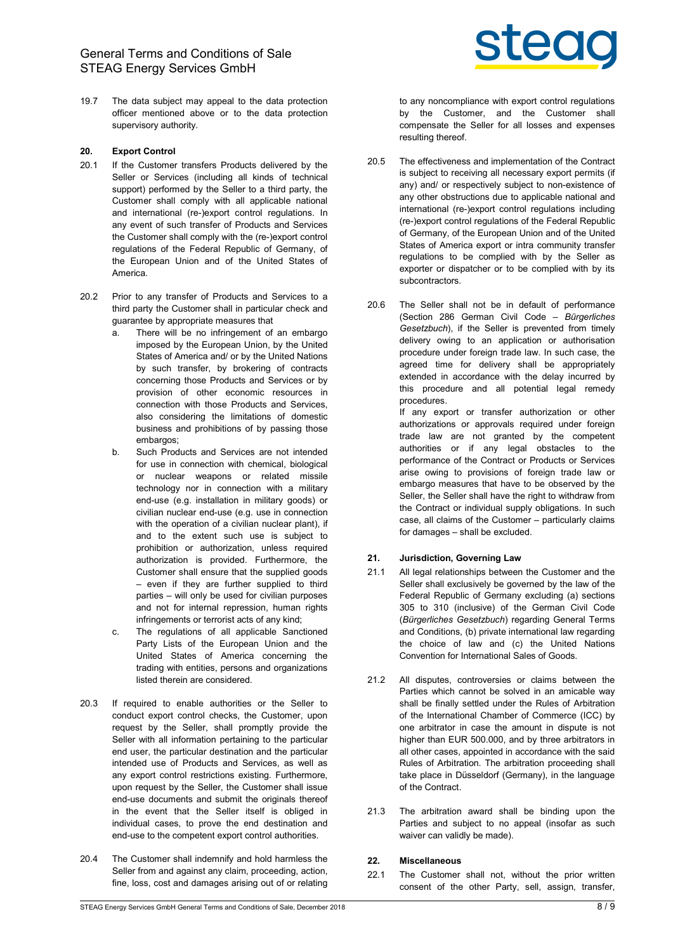19.7 The data subject may appeal to the data protection officer mentioned above or to the data protection supervisory authority.

### 20. Export Control

- 20.1 If the Customer transfers Products delivered by the Seller or Services (including all kinds of technical support) performed by the Seller to a third party, the Customer shall comply with all applicable national and international (re-)export control regulations. In any event of such transfer of Products and Services the Customer shall comply with the (re-)export control regulations of the Federal Republic of Germany, of the European Union and of the United States of America.
- 20.2 Prior to any transfer of Products and Services to a third party the Customer shall in particular check and guarantee by appropriate measures that
	- a. There will be no infringement of an embargo imposed by the European Union, by the United States of America and/ or by the United Nations by such transfer, by brokering of contracts concerning those Products and Services or by provision of other economic resources in connection with those Products and Services, also considering the limitations of domestic business and prohibitions of by passing those embargos:
	- b. Such Products and Services are not intended for use in connection with chemical, biological or nuclear weapons or related missile technology nor in connection with a military end-use (e.g. installation in military goods) or civilian nuclear end-use (e.g. use in connection with the operation of a civilian nuclear plant), if and to the extent such use is subject to prohibition or authorization, unless required authorization is provided. Furthermore, the Customer shall ensure that the supplied goods – even if they are further supplied to third parties – will only be used for civilian purposes and not for internal repression, human rights infringements or terrorist acts of any kind;
	- c. The regulations of all applicable Sanctioned Party Lists of the European Union and the United States of America concerning the trading with entities, persons and organizations listed therein are considered.
- 20.3 If required to enable authorities or the Seller to conduct export control checks, the Customer, upon request by the Seller, shall promptly provide the Seller with all information pertaining to the particular end user, the particular destination and the particular intended use of Products and Services, as well as any export control restrictions existing. Furthermore upon request by the Seller, the Customer shall issue end-use documents and submit the originals thereof in the event that the Seller itself is obliged in individual cases, to prove the end destination and end-use to the competent export control authorities.
- 20.4 The Customer shall indemnify and hold harmless the Seller from and against any claim, proceeding, action, fine, loss, cost and damages arising out of or relating



to any noncompliance with export control regulations by the Customer, and the Customer shall compensate the Seller for all losses and expenses resulting thereof.

- 20.5 The effectiveness and implementation of the Contract is subject to receiving all necessary export permits (if any) and/ or respectively subject to non-existence of any other obstructions due to applicable national and international (re-)export control regulations including (re-)export control regulations of the Federal Republic of Germany, of the European Union and of the United States of America export or intra community transfer regulations to be complied with by the Seller as exporter or dispatcher or to be complied with by its subcontractors.
- 20.6 The Seller shall not be in default of performance (Section 286 German Civil Code – Bürgerliches Gesetzbuch), if the Seller is prevented from timely delivery owing to an application or authorisation procedure under foreign trade law. In such case, the agreed time for delivery shall be appropriately extended in accordance with the delay incurred by this procedure and all potential legal remedy procedures.

If any export or transfer authorization or other authorizations or approvals required under foreign trade law are not granted by the competent authorities or if any legal obstacles to the performance of the Contract or Products or Services arise owing to provisions of foreign trade law or embargo measures that have to be observed by the Seller, the Seller shall have the right to withdraw from the Contract or individual supply obligations. In such case, all claims of the Customer – particularly claims for damages – shall be excluded.

#### 21. Jurisdiction, Governing Law

- 21.1 All legal relationships between the Customer and the Seller shall exclusively be governed by the law of the Federal Republic of Germany excluding (a) sections 305 to 310 (inclusive) of the German Civil Code (Bürgerliches Gesetzbuch) regarding General Terms and Conditions, (b) private international law regarding the choice of law and (c) the United Nations Convention for International Sales of Goods.
- 21.2 All disputes, controversies or claims between the Parties which cannot be solved in an amicable way shall be finally settled under the Rules of Arbitration of the International Chamber of Commerce (ICC) by one arbitrator in case the amount in dispute is not higher than EUR 500.000, and by three arbitrators in all other cases, appointed in accordance with the said Rules of Arbitration. The arbitration proceeding shall take place in Düsseldorf (Germany), in the language of the Contract.
- 21.3 The arbitration award shall be binding upon the Parties and subject to no appeal (insofar as such waiver can validly be made).

# 22. Miscellaneous

22.1 The Customer shall not, without the prior written consent of the other Party, sell, assign, transfer,